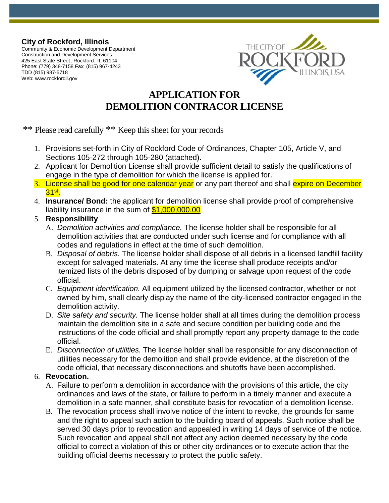**City of Rockford, Illinois**

Community & Economic Development Department Construction and Development Services <sup>425</sup> East State Street, Rockford, IL <sup>61104</sup> Phone: (779) 348-7158 Fax: (815) 967-4243 TDD (815) 987-5718 Web: [www.rockfordil.gov](http://www.rockfordil.gov/)



# **APPLICATION FOR DEMOLITION CONTRACOR LICENSE**

\*\* Please read carefully \*\* Keep this sheet for your records

- 1. Provisions set-forth in City of Rockford Code of Ordinances, Chapter 105, Article V, and Sections 105-272 through 105-280 (attached).
- 2. Applicant for Demolition License shall provide sufficient detail to satisfy the qualifications of engage in the type of demolition for which the license is applied for.
- 3. License shall be good for one calendar year or any part thereof and shall expire on December <mark>31<sup>st</sup>.</mark>
- 4. **Insurance/ Bond:** the applicant for demolition license shall provide proof of comprehensive liability insurance in the sum of \$1,000,000.00
- 5. **Responsibility** 
	- A. *Demolition activities and compliance.* The license holder shall be responsible for all demolition activities that are conducted under such license and for compliance with all codes and regulations in effect at the time of such demolition.
	- B. *Disposal of debris.* The license holder shall dispose of all debris in a licensed landfill facility except for salvaged materials. At any time the license shall produce receipts and/or itemized lists of the debris disposed of by dumping or salvage upon request of the code official.
	- C. *Equipment identification.* All equipment utilized by the licensed contractor, whether or not owned by him, shall clearly display the name of the city-licensed contractor engaged in the demolition activity.
	- D. *Site safety and security.* The license holder shall at all times during the demolition process maintain the demolition site in a safe and secure condition per building code and the instructions of the code official and shall promptly report any property damage to the code official.
	- E. *Disconnection of utilities.* The license holder shall be responsible for any disconnection of utilities necessary for the demolition and shall provide evidence, at the discretion of the code official, that necessary disconnections and shutoffs have been accomplished.

### 6. **Revocation.**

- A. Failure to perform a demolition in accordance with the provisions of this article, the city ordinances and laws of the state, or failure to perform in a timely manner and execute a demolition in a safe manner, shall constitute basis for revocation of a demolition license.
- B. The revocation process shall involve notice of the intent to revoke, the grounds for same and the right to appeal such action to the building board of appeals. Such notice shall be served 30 days prior to revocation and appealed in writing 14 days of service of the notice. Such revocation and appeal shall not affect any action deemed necessary by the code official to correct a violation of this or other city ordinances or to execute action that the building official deems necessary to protect the public safety.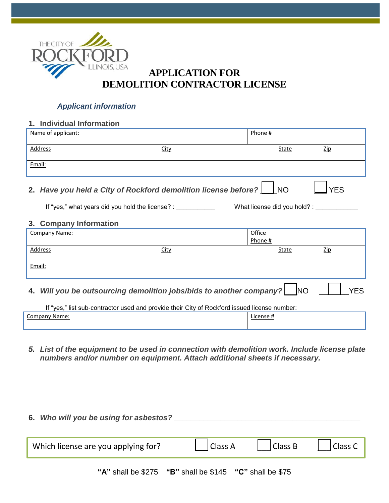

## **APPLICATION FOR DEMOLITION CONTRACTOR LICENSE**

### *Applicant information*

### **1. Individual Information**

| Name of applicant:                                                                |             | Phone # |       |            |
|-----------------------------------------------------------------------------------|-------------|---------|-------|------------|
| Address                                                                           | <u>City</u> |         | State | <b>Zip</b> |
| Email:                                                                            |             |         |       |            |
| 2. Have you held a City of Rockford demolition license before?   NO<br><b>YES</b> |             |         |       |            |
| If "yes," what years did you hold the license? :<br>What license did you hold? :  |             |         |       |            |
| Company Information                                                               |             |         |       |            |

#### **3. Company Information**

| Company Name:                                                          |             | Office<br>Phone # |              |            |
|------------------------------------------------------------------------|-------------|-------------------|--------------|------------|
| Address                                                                | <b>City</b> |                   | <b>State</b> | <b>Zip</b> |
| Email:                                                                 |             |                   |              |            |
| 4. Will you be outsourcing demolition jobs/bids to another company? NO |             |                   |              | YFS.       |

| If "yes," list sub-contractor used and provide their City of Rockford issued license number: |           |  |
|----------------------------------------------------------------------------------------------|-----------|--|
| Company Name:                                                                                | License # |  |
|                                                                                              |           |  |

*5. List of the equipment to be used in connection with demolition work. Include license plate numbers and/or number on equipment. Attach additional sheets if necessary.* 

| 6. Who will you be using for asbestos?                     |         |         |         |
|------------------------------------------------------------|---------|---------|---------|
| Which license are you applying for?                        | Class A | Class B | Class C |
| "A" shall be $$275$ "B" shall be $$145$ "C" shall be $$75$ |         |         |         |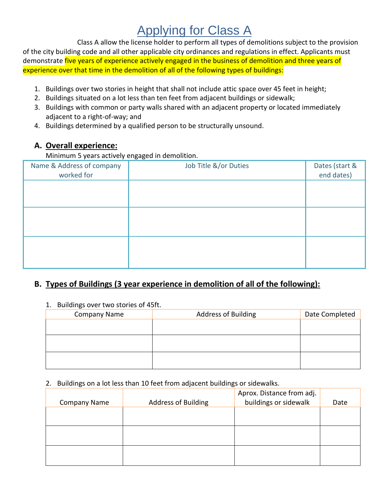# Applying for Class A

Class A allow the license holder to perform all types of demolitions subject to the provision of the city building code and all other applicable city ordinances and regulations in effect. Applicants must demonstrate five years of experience actively engaged in the business of demolition and three years of experience over that time in the demolition of all of the following types of buildings:

- 1. Buildings over two stories in height that shall not include attic space over 45 feet in height;
- 2. Buildings situated on a lot less than ten feet from adjacent buildings or sidewalk;
- 3. Buildings with common or party walls shared with an adjacent property or located immediately adjacent to a right-of-way; and
- 4. Buildings determined by a qualified person to be structurally unsound.

### **A. Overall experience:**

Minimum 5 years actively engaged in demolition.

| Name & Address of company<br>worked for | Job Title &/or Duties | Dates (start &<br>end dates) |
|-----------------------------------------|-----------------------|------------------------------|
|                                         |                       |                              |
|                                         |                       |                              |
|                                         |                       |                              |

## **B. Types of Buildings (3 year experience in demolition of all of the following):**

1. Buildings over two stories of 45ft.

| <b>Address of Building</b> | Date Completed |
|----------------------------|----------------|
|                            |                |
|                            |                |
|                            |                |
|                            |                |
|                            |                |
|                            |                |

#### 2. Buildings on a lot less than 10 feet from adjacent buildings or sidewalks.

|                     |                            | Aprox. Distance from adj. |      |
|---------------------|----------------------------|---------------------------|------|
| <b>Company Name</b> | <b>Address of Building</b> | buildings or sidewalk     | Date |
|                     |                            |                           |      |
|                     |                            |                           |      |
|                     |                            |                           |      |
|                     |                            |                           |      |
|                     |                            |                           |      |
|                     |                            |                           |      |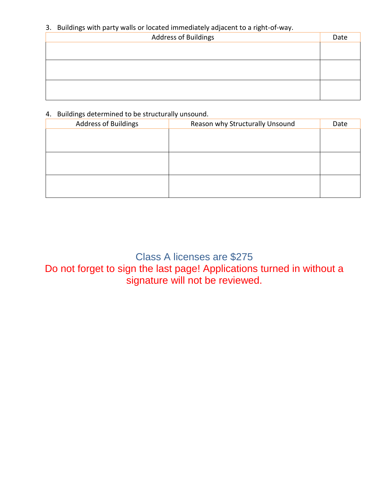### 3. Buildings with party walls or located immediately adjacent to a right-of-way.

| Address of Buildings | Date |
|----------------------|------|
|                      |      |
|                      |      |
|                      |      |
|                      |      |
|                      |      |
|                      |      |

### 4. Buildings determined to be structurally unsound.

| <b>Address of Buildings</b> | Reason why Structurally Unsound | Date |
|-----------------------------|---------------------------------|------|
|                             |                                 |      |
|                             |                                 |      |
|                             |                                 |      |
|                             |                                 |      |
|                             |                                 |      |
|                             |                                 |      |

Class A licenses are \$275 Do not forget to sign the last page! Applications turned in without a signature will not be reviewed.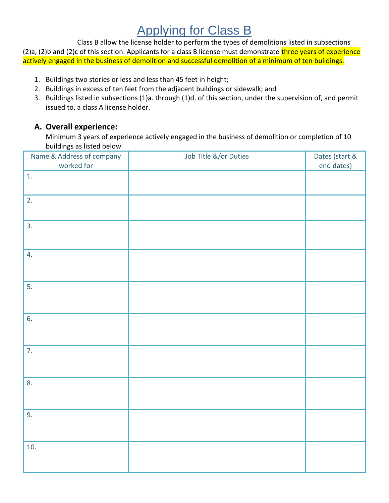# Applying for Class B

Class B allow the license holder to perform the types of demolitions listed in subsections  $(2)a$ ,  $(2)b$  and  $(2)c$  of this section. Applicants for a class B license must demonstrate three years of experience actively engaged in the business of demolition and successful demolition of a minimum of ten buildings.

- 1. Buildings two stories or less and less than 45 feet in height;
- 2. Buildings in excess of ten feet from the adjacent buildings or sidewalk; and
- 3. Buildings listed in subsections (1)a. through (1)d. of this section, under the supervision of, and permit issued to, a class A license holder.

### **A. Overall experience:**

Minimum 3 years of experience actively engaged in the business of demolition or completion of 10 buildings as listed below

| Name & Address of company<br>worked for | Job Title &/or Duties | Dates (start &<br>end dates) |
|-----------------------------------------|-----------------------|------------------------------|
| 1.                                      |                       |                              |
|                                         |                       |                              |
| $\overline{2.}$                         |                       |                              |
|                                         |                       |                              |
| 3.                                      |                       |                              |
|                                         |                       |                              |
| 4.                                      |                       |                              |
|                                         |                       |                              |
| 5.                                      |                       |                              |
|                                         |                       |                              |
| 6.                                      |                       |                              |
|                                         |                       |                              |
| 7.                                      |                       |                              |
|                                         |                       |                              |
| 8.                                      |                       |                              |
|                                         |                       |                              |
|                                         |                       |                              |
| 9.                                      |                       |                              |
|                                         |                       |                              |
| 10.                                     |                       |                              |
|                                         |                       |                              |
|                                         |                       |                              |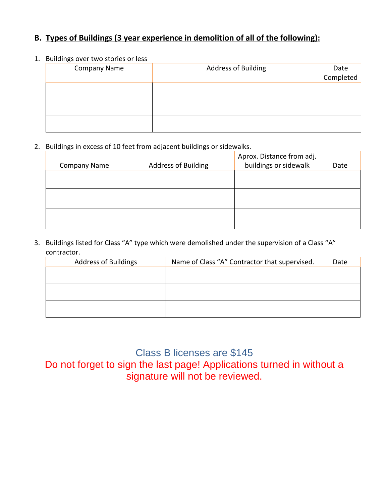### **B. Types of Buildings (3 year experience in demolition of all of the following):**

#### 1. Buildings over two stories or less

| <b>Company Name</b> | <b>Address of Building</b> |                   |
|---------------------|----------------------------|-------------------|
|                     |                            | Date<br>Completed |
|                     |                            |                   |
|                     |                            |                   |
|                     |                            |                   |
|                     |                            |                   |
|                     |                            |                   |
|                     |                            |                   |

2. Buildings in excess of 10 feet from adjacent buildings or sidewalks.

| <b>Company Name</b> | <b>Address of Building</b> | Aprox. Distance from adj.<br>buildings or sidewalk | Date |
|---------------------|----------------------------|----------------------------------------------------|------|
|                     |                            |                                                    |      |
|                     |                            |                                                    |      |
|                     |                            |                                                    |      |

3. Buildings listed for Class "A" type which were demolished under the supervision of a Class "A" contractor.

| <b>Address of Buildings</b> | Name of Class "A" Contractor that supervised. | Date |
|-----------------------------|-----------------------------------------------|------|
|                             |                                               |      |
|                             |                                               |      |
|                             |                                               |      |
|                             |                                               |      |
|                             |                                               |      |
|                             |                                               |      |

Class B licenses are \$145 Do not forget to sign the last page! Applications turned in without a signature will not be reviewed.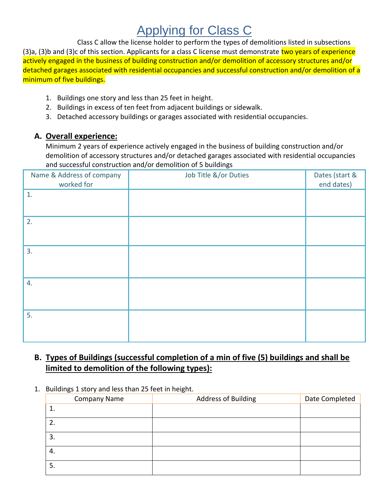# Applying for Class C

Class C allow the license holder to perform the types of demolitions listed in subsections (3)a, (3)b and (3)c of this section. Applicants for a class C license must demonstrate two years of experience actively engaged in the business of building construction and/or demolition of accessory structures and/or detached garages associated with residential occupancies and successful construction and/or demolition of a minimum of five buildings.

- 1. Buildings one story and less than 25 feet in height.
- 2. Buildings in excess of ten feet from adjacent buildings or sidewalk.
- 3. Detached accessory buildings or garages associated with residential occupancies.

### **A. Overall experience:**

Minimum 2 years of experience actively engaged in the business of building construction and/or demolition of accessory structures and/or detached garages associated with residential occupancies and successful construction and/or demolition of 5 buildings

| Name & Address of company<br>worked for | Job Title &/or Duties | Dates (start &<br>end dates) |
|-----------------------------------------|-----------------------|------------------------------|
| 1.                                      |                       |                              |
| 2.                                      |                       |                              |
| 3.                                      |                       |                              |
| 4.                                      |                       |                              |
| 5.                                      |                       |                              |

## **B. Types of Buildings (successful completion of a min of five (5) buildings and shall be limited to demolition of the following types):**

1. Buildings 1 story and less than 25 feet in height.

| <b>Company Name</b> | <b>Address of Building</b> | Date Completed |
|---------------------|----------------------------|----------------|
| $\mathbf 1$         |                            |                |
| 2.                  |                            |                |
| 3.                  |                            |                |
| 4.                  |                            |                |
| 5.                  |                            |                |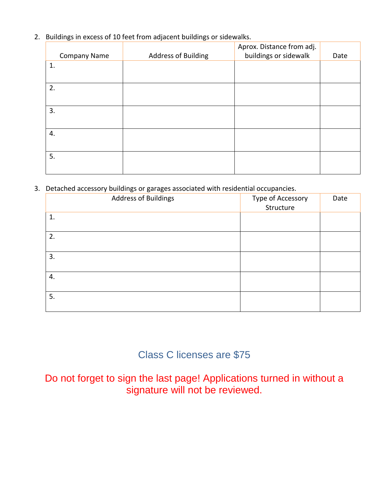2. Buildings in excess of 10 feet from adjacent buildings or sidewalks.

|                     |                            | Aprox. Distance from adj. |      |
|---------------------|----------------------------|---------------------------|------|
| <b>Company Name</b> | <b>Address of Building</b> | buildings or sidewalk     | Date |
| 1.                  |                            |                           |      |
|                     |                            |                           |      |
| 2.                  |                            |                           |      |
|                     |                            |                           |      |
| 3.                  |                            |                           |      |
|                     |                            |                           |      |
| 4.                  |                            |                           |      |
|                     |                            |                           |      |
| 5.                  |                            |                           |      |
|                     |                            |                           |      |

3. Detached accessory buildings or garages associated with residential occupancies.

| $\overline{\phantom{a}}$<br>__<br><b>Address of Buildings</b> | $\sim$<br>Type of Accessory<br>Structure | Date |
|---------------------------------------------------------------|------------------------------------------|------|
| 1.                                                            |                                          |      |
| 2.                                                            |                                          |      |
| 3.                                                            |                                          |      |
| 4.                                                            |                                          |      |
| 5.                                                            |                                          |      |

# Class C licenses are \$75

Do not forget to sign the last page! Applications turned in without a signature will not be reviewed.